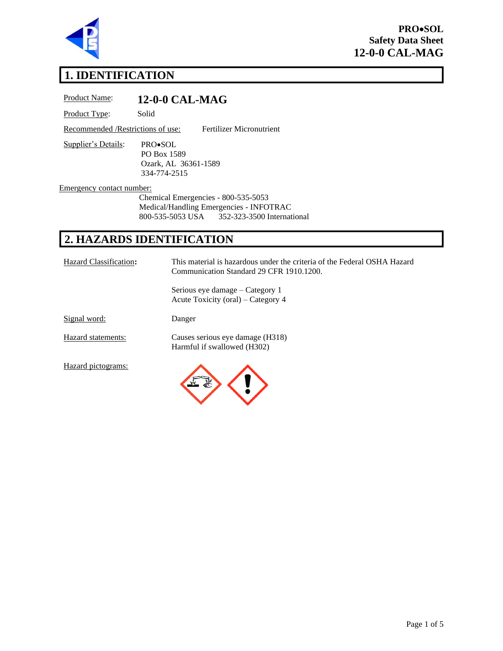

# **1. IDENTIFICATION**

Product Name: **12-0-0 CAL-MAG** Product Type: Solid Recommended /Restrictions of use: Fertilizer Micronutrient

Supplier's Details: PRO•SOL PO Box 1589 Ozark, AL 36361-1589 334-774-2515

Emergency contact number:

Chemical Emergencies - 800-535-5053 Medical/Handling Emergencies - INFOTRAC<br>800-535-5053 USA 352-323-3500 Internat 352-323-3500 International

# **2. HAZARDS IDENTIFICATION**

| Hazard Classification: | This material is hazardous under the criteria of the Federal OSHA Hazard<br>Communication Standard 29 CFR 1910.1200. |
|------------------------|----------------------------------------------------------------------------------------------------------------------|
|                        | Serious eye damage – Category 1<br>Acute Toxicity (oral) – Category 4                                                |
| Signal word:           | Danger                                                                                                               |
| Hazard statements:     | Causes serious eye damage (H318)<br>Harmful if swallowed (H302)                                                      |
| Hazard pictograms:     |                                                                                                                      |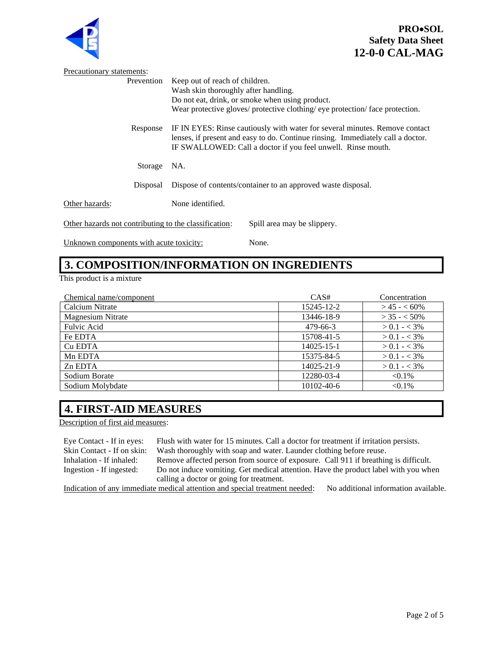



| Precautionary statements:                             |                                                                                                                                                                                                                                |  |  |
|-------------------------------------------------------|--------------------------------------------------------------------------------------------------------------------------------------------------------------------------------------------------------------------------------|--|--|
| Prevention                                            | Keep out of reach of children.                                                                                                                                                                                                 |  |  |
|                                                       | Wash skin thoroughly after handling.                                                                                                                                                                                           |  |  |
|                                                       | Do not eat, drink, or smoke when using product.                                                                                                                                                                                |  |  |
|                                                       | Wear protective gloves/ protective clothing/ eye protection/ face protection.                                                                                                                                                  |  |  |
| Response                                              | IF IN EYES: Rinse cautiously with water for several minutes. Remove contact<br>lenses, if present and easy to do. Continue rinsing. Immediately call a doctor.<br>IF SWALLOWED: Call a doctor if you feel unwell. Rinse mouth. |  |  |
| Storage                                               | NA.                                                                                                                                                                                                                            |  |  |
| Disposal                                              | Dispose of contents/container to an approved waste disposal.                                                                                                                                                                   |  |  |
| Other hazards:                                        | None identified.                                                                                                                                                                                                               |  |  |
| Other hazards not contributing to the classification: | Spill area may be slippery.                                                                                                                                                                                                    |  |  |
| Unknown components with acute toxicity:               | None.                                                                                                                                                                                                                          |  |  |

## **3. COMPOSITION/INFORMATION ON INGREDIENTS**

This product is a mixture

| Chemical name/component  | CAS#             | Concentration    |
|--------------------------|------------------|------------------|
| Calcium Nitrate          | 15245-12-2       | $>45 - 60\%$     |
| <b>Magnesium Nitrate</b> | 13446-18-9       | $>$ 35 - $<$ 50% |
| Fulvic Acid              | 479-66-3         | $> 0.1 - < 3\%$  |
| Fe EDTA                  | 15708-41-5       | $> 0.1 - < 3\%$  |
| Cu EDTA                  | $14025 - 15 - 1$ | $> 0.1 - < 3\%$  |
| Mn EDTA                  | 15375-84-5       | $> 0.1 - < 3\%$  |
| Zn EDTA                  | 14025-21-9       | $> 0.1 - < 3\%$  |
| Sodium Borate            | 12280-03-4       | $< 0.1\%$        |
| Sodium Molybdate         | $10102 - 40 - 6$ | $< 0.1\%$        |

#### **4. FIRST-AID MEASURES**

Description of first aid measures:

Eye Contact - If in eyes: Flush with water for 15 minutes. Call a doctor for treatment if irritation persists. Skin Contact - If on skin: Wash thoroughly with soap and water. Launder clothing before reuse. Inhalation - If inhaled: Remove affected person from source of exposure. Call 911 if breathing is difficult. Ingestion - If ingested: Do not induce vomiting. Get medical attention. Have the product label with you when calling a doctor or going for treatment. Indication of any immediate medical attention and special treatment needed: No additional information available.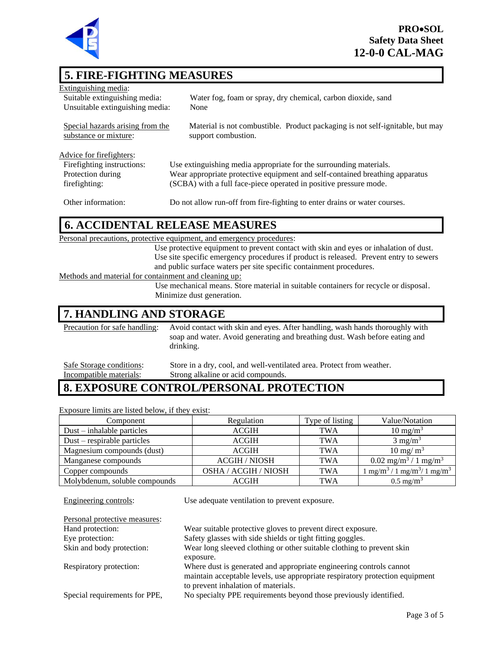

### **5. FIRE-FIGHTING MEASURES**

| Extinguishing media:                                      |                                                                                                      |  |
|-----------------------------------------------------------|------------------------------------------------------------------------------------------------------|--|
| Suitable extinguishing media:                             | Water fog, foam or spray, dry chemical, carbon dioxide, sand                                         |  |
| Unsuitable extinguishing media:                           | None                                                                                                 |  |
| Special hazards arising from the<br>substance or mixture: | Material is not combustible. Product packaging is not self-ignitable, but may<br>support combustion. |  |
| Advice for firefighters:                                  |                                                                                                      |  |
| Fire fighting instructions:                               | Use extinguishing media appropriate for the surrounding materials.                                   |  |
| Protection during                                         | Wear appropriate protective equipment and self-contained breathing apparatus                         |  |
| firefighting:                                             | (SCBA) with a full face-piece operated in positive pressure mode.                                    |  |
| Other information:                                        | Do not allow run-off from fire-fighting to enter drains or water courses.                            |  |

#### **6. ACCIDENTAL RELEASE MEASURES**

| Personal precautions, protective equipment, and emergency procedures:                  |  |  |
|----------------------------------------------------------------------------------------|--|--|
| Use protective equipment to prevent contact with skin and eyes or inhalation of dust.  |  |  |
| Use site specific emergency procedures if product is released. Prevent entry to sewers |  |  |
| and public surface waters per site specific containment procedures.                    |  |  |
| Methods and material for containment and cleaning up:                                  |  |  |
| Use mechanical means. Store material in suitable containers for recycle or disposal.   |  |  |
| Minimize dust generation.                                                              |  |  |
|                                                                                        |  |  |

#### **7. HANDLING AND STORAGE**

Precaution for safe handling: Avoid contact with skin and eyes. After handling, wash hands thoroughly with soap and water. Avoid generating and breathing dust. Wash before eating and drinking.

Safe Storage conditions: Store in a dry, cool, and well-ventilated area. Protect from weather. Incompatible materials: Strong alkaline or acid compounds.

### **8. EXPOSURE CONTROL/PERSONAL PROTECTION**

Exposure limits are listed below, if they exist:

| Component                     | Regulation           | Type of listing | Value/Notation                                           |
|-------------------------------|----------------------|-----------------|----------------------------------------------------------|
| $Dust - inhalable particles$  | <b>ACGIH</b>         | <b>TWA</b>      | $10 \text{ mg/m}^3$                                      |
| $Dust$ – respirable particles | <b>ACGIH</b>         | <b>TWA</b>      | $3 \text{ mg/m}^3$                                       |
| Magnesium compounds (dust)    | <b>ACGIH</b>         | <b>TWA</b>      | $10 \text{ mg/m}^3$                                      |
| Manganese compounds           | <b>ACGIH / NIOSH</b> | <b>TWA</b>      | $0.02$ mg/m <sup>3</sup> / 1 mg/m <sup>3</sup>           |
| Copper compounds              | OSHA / ACGIH / NIOSH | <b>TWA</b>      | $1 \text{ mg/m}^3 / 1 \text{ mg/m}^3 / 1 \text{ mg/m}^3$ |
| Molybdenum, soluble compounds | <b>ACGIH</b>         | <b>TWA</b>      | $0.5 \text{ mg/m}^3$                                     |

Engineering controls: Use adequate ventilation to prevent exposure.

| Personal protective measures: |                                                                              |
|-------------------------------|------------------------------------------------------------------------------|
| Hand protection:              | Wear suitable protective gloves to prevent direct exposure.                  |
| Eye protection:               | Safety glasses with side shields or tight fitting goggles.                   |
| Skin and body protection:     | Wear long sleeved clothing or other suitable clothing to prevent skin        |
|                               | exposure.                                                                    |
| Respiratory protection:       | Where dust is generated and appropriate engineering controls cannot          |
|                               | maintain acceptable levels, use appropriate respiratory protection equipment |
|                               | to prevent inhalation of materials.                                          |
| Special requirements for PPE, | No specialty PPE requirements beyond those previously identified.            |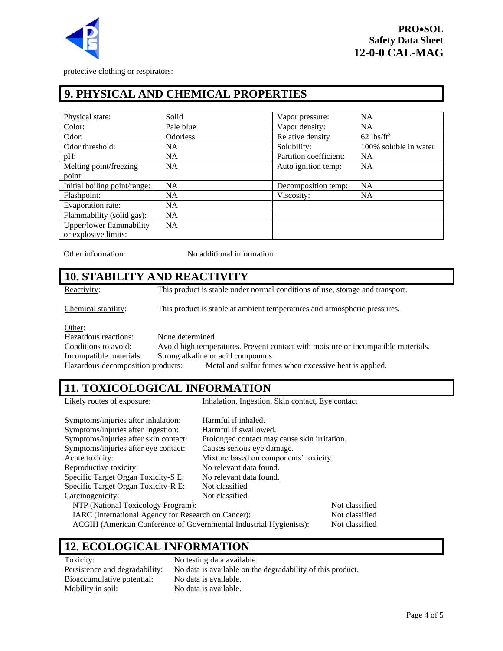

protective clothing or respirators:

# **9. PHYSICAL AND CHEMICAL PROPERTIES**

| Physical state:              | Solid           | Vapor pressure:        | NA                       |
|------------------------------|-----------------|------------------------|--------------------------|
| Color:                       | Pale blue       | Vapor density:         | NA.                      |
| Odor:                        | <b>Odorless</b> | Relative density       | $62$ lbs/ft <sup>3</sup> |
| Odor threshold:              | NA              | Solubility:            | 100% soluble in water    |
| pH:                          | NA.             | Partition coefficient: | <b>NA</b>                |
| Melting point/freezing       | <b>NA</b>       | Auto ignition temp:    | <b>NA</b>                |
| point:                       |                 |                        |                          |
| Initial boiling point/range: | <b>NA</b>       | Decomposition temp:    | <b>NA</b>                |
| Flashpoint:                  | NA.             | Viscosity:             | NA.                      |
| Evaporation rate:            | NA              |                        |                          |
| Flammability (solid gas):    | <b>NA</b>       |                        |                          |
| Upper/lower flammability     | NA.             |                        |                          |
| or explosive limits:         |                 |                        |                          |

Other information: No additional information.

#### **10. STABILITY AND REACTIVITY**

Reactivity: This product is stable under normal conditions of use, storage and transport.

Chemical stability: This product is stable at ambient temperatures and atmospheric pressures.

#### Other:

Hazardous reactions: None determined. Conditions to avoid: Avoid high temperatures. Prevent contact with moisture or incompatible materials. Incompatible materials: Strong alkaline or acid compounds. Hazardous decomposition products: Metal and sulfur fumes when excessive heat is applied.

### **11. TOXICOLOGICAL INFORMATION**

Likely routes of exposure: Inhalation, Ingestion, Skin contact, Eye contact

| Symptoms/injuries after inhalation:                                | Harmful if inhaled.                          |                |
|--------------------------------------------------------------------|----------------------------------------------|----------------|
| Symptoms/injuries after Ingestion:                                 | Harmful if swallowed.                        |                |
| Symptoms/injuries after skin contact:                              | Prolonged contact may cause skin irritation. |                |
| Symptoms/injuries after eye contact:                               | Causes serious eye damage.                   |                |
| Acute toxicity:                                                    | Mixture based on components' toxicity.       |                |
| Reproductive toxicity:                                             | No relevant data found.                      |                |
| Specific Target Organ Toxicity-S E:                                | No relevant data found.                      |                |
| Specific Target Organ Toxicity-R E:                                | Not classified                               |                |
| Carcinogenicity:                                                   | Not classified                               |                |
| NTP (National Toxicology Program):                                 |                                              | Not classified |
| IARC (International Agency for Research on Cancer):                |                                              | Not classified |
| ACGIH (American Conference of Governmental Industrial Hygienists): |                                              | Not classified |

#### **12. ECOLOGICAL INFORMATION**

Bioaccumulative potential: No data is available. Mobility in soil: No data is available.

Toxicity: No testing data available. Persistence and degradability: No data is available on the degradability of this product.